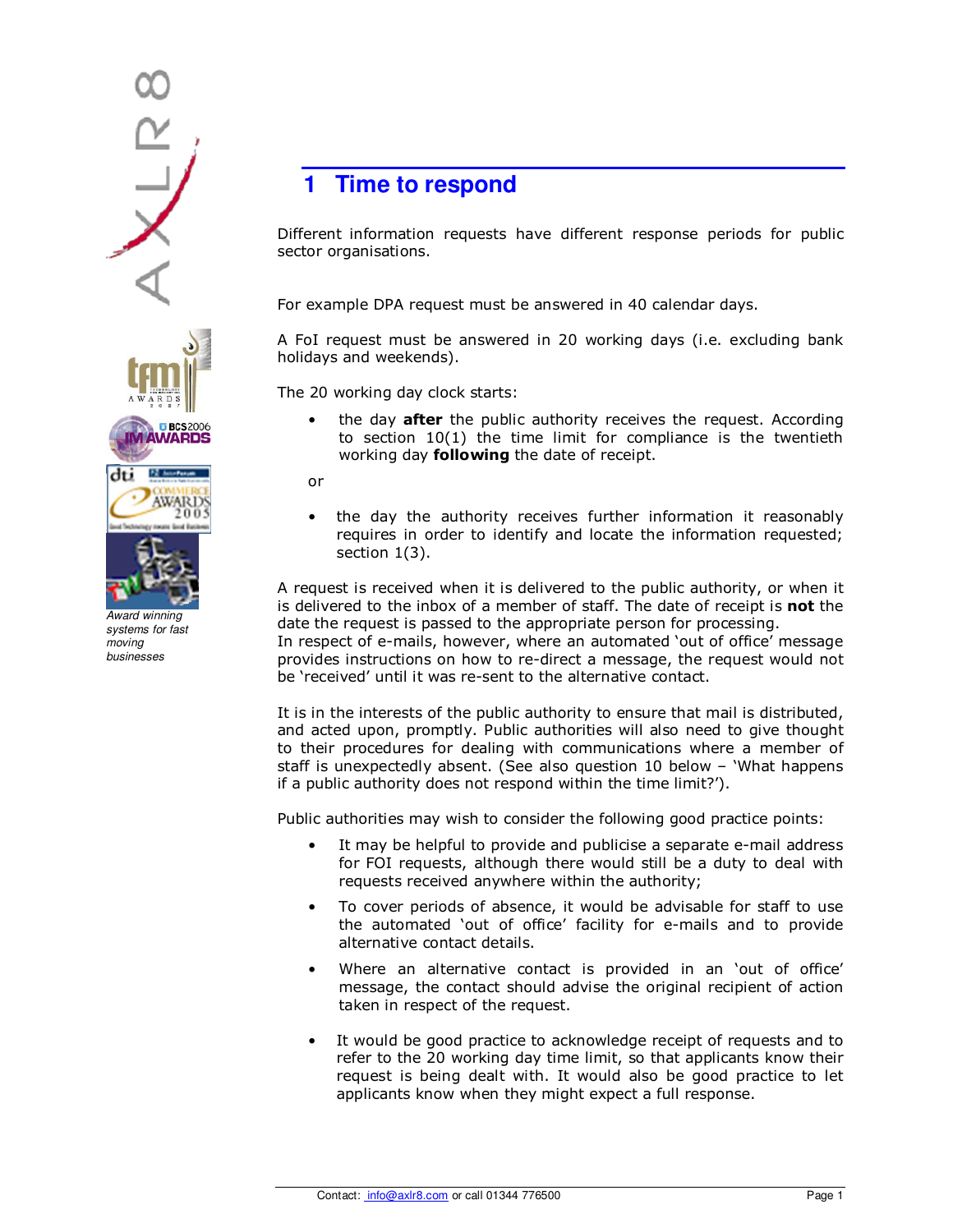

Award winning systems for fast moving businesses

## **1** Time to respond

Different information requests have different response periods for public sector organisations.

For example DPA request must be answered in 40 calendar days.

A FoI request must be answered in 20 working days (i.e. excluding bank holidays and weekends).

The 20 working day clock starts:

• the day **after** the public authority receives the request. According to section 10(1) the time limit for compliance is the twentieth working day **following** the date of receipt.

or

• the day the authority receives further information it reasonably requires in order to identify and locate the information requested; section 1(3).

A request is received when it is delivered to the public authority, or when it is delivered to the inbox of a member of staff. The date of receipt is not the date the request is passed to the appropriate person for processing.

In respect of e-mails, however, where an automated 'out of office' message provides instructions on how to re-direct a message, the request would not be 'received' until it was re-sent to the alternative contact.

It is in the interests of the public authority to ensure that mail is distributed, and acted upon, promptly. Public authorities will also need to give thought to their procedures for dealing with communications where a member of staff is unexpectedly absent. (See also question 10 below – 'What happens if a public authority does not respond within the time limit?').

Public authorities may wish to consider the following good practice points:

- It may be helpful to provide and publicise a separate e-mail address for FOI requests, although there would still be a duty to deal with requests received anywhere within the authority;
- To cover periods of absence, it would be advisable for staff to use the automated 'out of office' facility for e-mails and to provide alternative contact details.
- Where an alternative contact is provided in an 'out of office' message, the contact should advise the original recipient of action taken in respect of the request.
- It would be good practice to acknowledge receipt of requests and to refer to the 20 working day time limit, so that applicants know their request is being dealt with. It would also be good practice to let applicants know when they might expect a full response.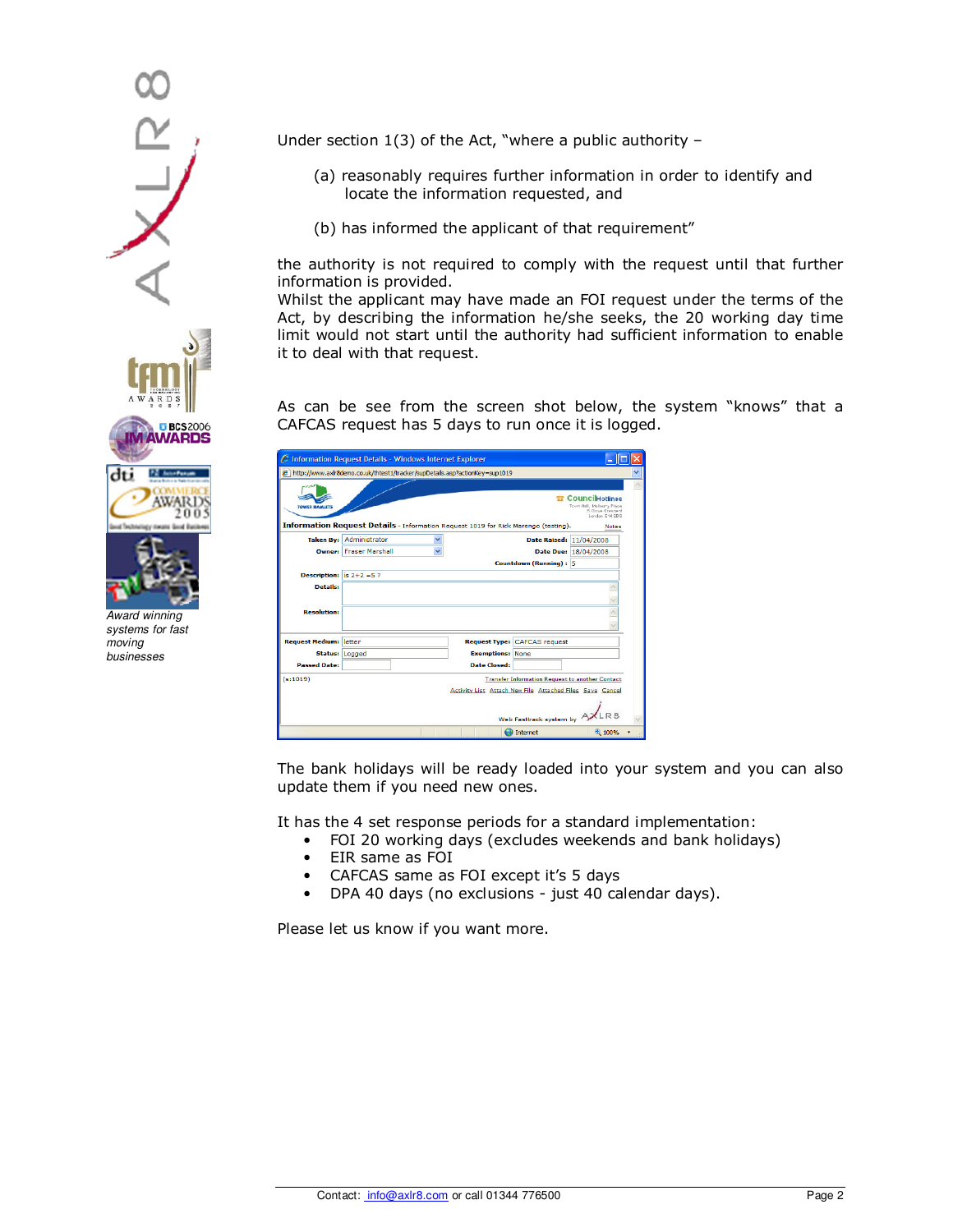

Award winning systems for fast moving businesses

Under section 1(3) of the Act, "where a public authority –

- (a) reasonably requires further information in order to identify and locate the information requested, and
- (b) has informed the applicant of that requirement"

the authority is not required to comply with the request until that further information is provided.

Whilst the applicant may have made an FOI request under the terms of the Act, by describing the information he/she seeks, the 20 working day time limit would not start until the authority had sufficient information to enable it to deal with that request.

As can be see from the screen shot below, the system "knows" that a CAFCAS request has 5 days to run once it is logged.

| <b>TE CouncilHotlines</b><br>Toyyn Hell, Mulberry Place<br><b>TOWER HAMLETS</b><br>5 Cleve Crescent<br>London, F14 2RG<br>Information Request Details - Information Request 1019 for Rick Marengo (testing).<br><b>Notes</b><br>Taken By: Administrator<br>Ÿ<br>Date Raised: 11/04/2008<br>Owner: Fraser Marshall<br>$\checkmark$<br>Date Due: 18/04/2008<br>Countdown (Running): 5<br><b>Description:</b> $is 2+2=5$ ?<br><b>Details:</b><br><b>Resolution:</b><br><b>Request Medium: letter</b><br><b>Request Type: CAFCAS request</b><br><b>Exemptions: None</b><br>Status: Logged<br><b>Passed Date:</b><br>Date Closed:<br>(s:1019)<br><b>Transfer Information Request to another Contact</b><br>Activity List Attach New File Attached Files Save Cancel | C Information Request Details - Windows Internet Explorer<br>e http://www.axir8demo.co.uk/thtest1/tracker/supDetails.asp?actionKev=sup1019 |  |  |
|----------------------------------------------------------------------------------------------------------------------------------------------------------------------------------------------------------------------------------------------------------------------------------------------------------------------------------------------------------------------------------------------------------------------------------------------------------------------------------------------------------------------------------------------------------------------------------------------------------------------------------------------------------------------------------------------------------------------------------------------------------------|--------------------------------------------------------------------------------------------------------------------------------------------|--|--|
|                                                                                                                                                                                                                                                                                                                                                                                                                                                                                                                                                                                                                                                                                                                                                                |                                                                                                                                            |  |  |
|                                                                                                                                                                                                                                                                                                                                                                                                                                                                                                                                                                                                                                                                                                                                                                |                                                                                                                                            |  |  |
|                                                                                                                                                                                                                                                                                                                                                                                                                                                                                                                                                                                                                                                                                                                                                                |                                                                                                                                            |  |  |
|                                                                                                                                                                                                                                                                                                                                                                                                                                                                                                                                                                                                                                                                                                                                                                |                                                                                                                                            |  |  |
|                                                                                                                                                                                                                                                                                                                                                                                                                                                                                                                                                                                                                                                                                                                                                                |                                                                                                                                            |  |  |
|                                                                                                                                                                                                                                                                                                                                                                                                                                                                                                                                                                                                                                                                                                                                                                |                                                                                                                                            |  |  |
|                                                                                                                                                                                                                                                                                                                                                                                                                                                                                                                                                                                                                                                                                                                                                                |                                                                                                                                            |  |  |
|                                                                                                                                                                                                                                                                                                                                                                                                                                                                                                                                                                                                                                                                                                                                                                |                                                                                                                                            |  |  |
|                                                                                                                                                                                                                                                                                                                                                                                                                                                                                                                                                                                                                                                                                                                                                                |                                                                                                                                            |  |  |
|                                                                                                                                                                                                                                                                                                                                                                                                                                                                                                                                                                                                                                                                                                                                                                |                                                                                                                                            |  |  |
| Web Fasttrack system by                                                                                                                                                                                                                                                                                                                                                                                                                                                                                                                                                                                                                                                                                                                                        |                                                                                                                                            |  |  |

The bank holidays will be ready loaded into your system and you can also update them if you need new ones.

It has the 4 set response periods for a standard implementation:

- FOI 20 working days (excludes weekends and bank holidays)
- EIR same as FOI
- CAFCAS same as FOI except it's 5 days
- DPA 40 days (no exclusions just 40 calendar days).

Please let us know if you want more.